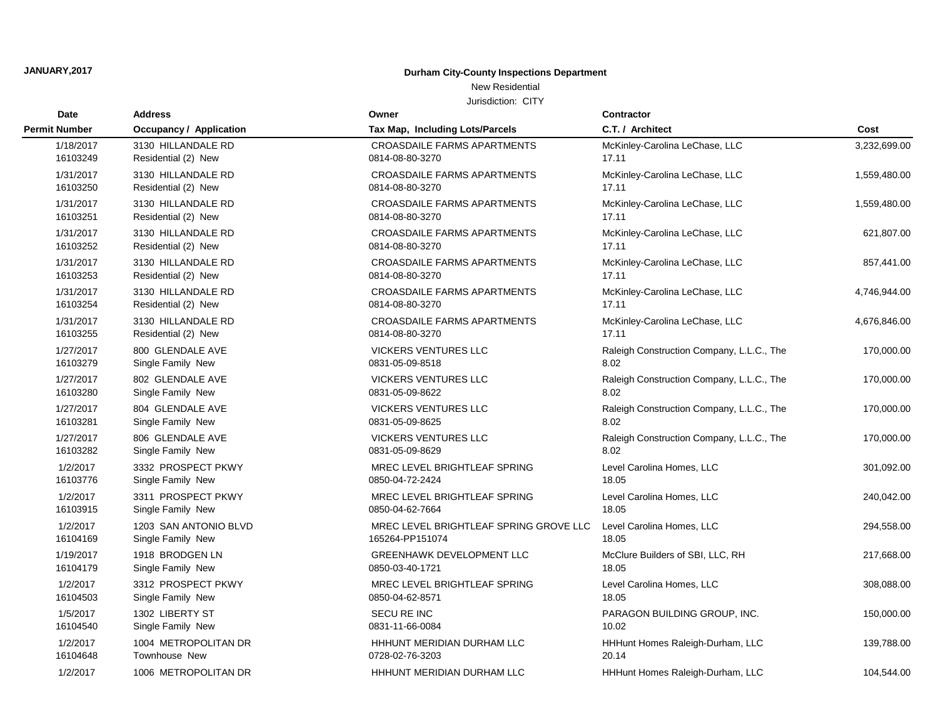## New Residential

| <b>Date</b>          | <b>Address</b>                 | Owner                                  | <b>Contractor</b>                         |              |
|----------------------|--------------------------------|----------------------------------------|-------------------------------------------|--------------|
| <b>Permit Number</b> | <b>Occupancy / Application</b> | Tax Map, Including Lots/Parcels        | C.T. / Architect                          | Cost         |
| 1/18/2017            | 3130 HILLANDALE RD             | CROASDAILE FARMS APARTMENTS            | McKinley-Carolina LeChase, LLC            | 3,232,699.00 |
| 16103249             | Residential (2) New            | 0814-08-80-3270                        | 17.11                                     |              |
| 1/31/2017            | 3130 HILLANDALE RD             | CROASDAILE FARMS APARTMENTS            | McKinley-Carolina LeChase, LLC            | 1,559,480.00 |
| 16103250             | Residential (2) New            | 0814-08-80-3270                        | 17.11                                     |              |
| 1/31/2017            | 3130 HILLANDALE RD             | CROASDAILE FARMS APARTMENTS            | McKinley-Carolina LeChase, LLC            | 1,559,480.00 |
| 16103251             | Residential (2) New            | 0814-08-80-3270                        | 17.11                                     |              |
| 1/31/2017            | 3130 HILLANDALE RD             | <b>CROASDAILE FARMS APARTMENTS</b>     | McKinley-Carolina LeChase, LLC            | 621,807.00   |
| 16103252             | Residential (2) New            | 0814-08-80-3270                        | 17.11                                     |              |
| 1/31/2017            | 3130 HILLANDALE RD             | <b>CROASDAILE FARMS APARTMENTS</b>     | McKinley-Carolina LeChase, LLC            | 857,441.00   |
| 16103253             | Residential (2) New            | 0814-08-80-3270                        | 17.11                                     |              |
| 1/31/2017            | 3130 HILLANDALE RD             | <b>CROASDAILE FARMS APARTMENTS</b>     | McKinley-Carolina LeChase, LLC            | 4,746,944.00 |
| 16103254             | Residential (2) New            | 0814-08-80-3270                        | 17.11                                     |              |
| 1/31/2017            | 3130 HILLANDALE RD             | <b>CROASDAILE FARMS APARTMENTS</b>     | McKinley-Carolina LeChase, LLC            | 4,676,846.00 |
| 16103255             | Residential (2) New            | 0814-08-80-3270                        | 17.11                                     |              |
| 1/27/2017            | 800 GLENDALE AVE               | <b>VICKERS VENTURES LLC</b>            | Raleigh Construction Company, L.L.C., The | 170,000.00   |
| 16103279             | Single Family New              | 0831-05-09-8518                        | 8.02                                      |              |
| 1/27/2017            | 802 GLENDALE AVE               | <b>VICKERS VENTURES LLC</b>            | Raleigh Construction Company, L.L.C., The | 170,000.00   |
| 16103280             | Single Family New              | 0831-05-09-8622                        | 8.02                                      |              |
| 1/27/2017            | 804 GLENDALE AVE               | <b>VICKERS VENTURES LLC</b>            | Raleigh Construction Company, L.L.C., The | 170,000.00   |
| 16103281             | Single Family New              | 0831-05-09-8625                        | 8.02                                      |              |
| 1/27/2017            | 806 GLENDALE AVE               | VICKERS VENTURES LLC                   | Raleigh Construction Company, L.L.C., The | 170,000.00   |
| 16103282             | Single Family New              | 0831-05-09-8629                        | 8.02                                      |              |
| 1/2/2017             | 3332 PROSPECT PKWY             | MREC LEVEL BRIGHTLEAF SPRING           | Level Carolina Homes, LLC                 | 301,092.00   |
| 16103776             | Single Family New              | 0850-04-72-2424                        | 18.05                                     |              |
| 1/2/2017             | 3311 PROSPECT PKWY             | MREC LEVEL BRIGHTLEAF SPRING           | Level Carolina Homes, LLC                 | 240,042.00   |
| 16103915             | Single Family New              | 0850-04-62-7664                        | 18.05                                     |              |
| 1/2/2017             | 1203 SAN ANTONIO BLVD          | MREC LEVEL BRIGHTLEAF SPRING GROVE LLC | Level Carolina Homes, LLC                 | 294,558.00   |
| 16104169             | Single Family New              | 165264-PP151074                        | 18.05                                     |              |
| 1/19/2017            | 1918 BRODGEN LN                | GREENHAWK DEVELOPMENT LLC              | McClure Builders of SBI, LLC, RH          | 217,668.00   |
| 16104179             | Single Family New              | 0850-03-40-1721                        | 18.05                                     |              |
| 1/2/2017             | 3312 PROSPECT PKWY             | MREC LEVEL BRIGHTLEAF SPRING           | Level Carolina Homes, LLC                 | 308,088.00   |
| 16104503             | Single Family New              | 0850-04-62-8571                        | 18.05                                     |              |
| 1/5/2017             | 1302 LIBERTY ST                | SECU RE INC                            | PARAGON BUILDING GROUP, INC.              | 150,000.00   |
| 16104540             | Single Family New              | 0831-11-66-0084                        | 10.02                                     |              |
| 1/2/2017             | 1004 METROPOLITAN DR           | HHHUNT MERIDIAN DURHAM LLC             | HHHunt Homes Raleigh-Durham, LLC          | 139,788.00   |
| 16104648             | Townhouse New                  | 0728-02-76-3203                        | 20.14                                     |              |
| 1/2/2017             | 1006 METROPOLITAN DR           | HHHUNT MERIDIAN DURHAM LLC             | HHHunt Homes Raleigh-Durham, LLC          | 104,544.00   |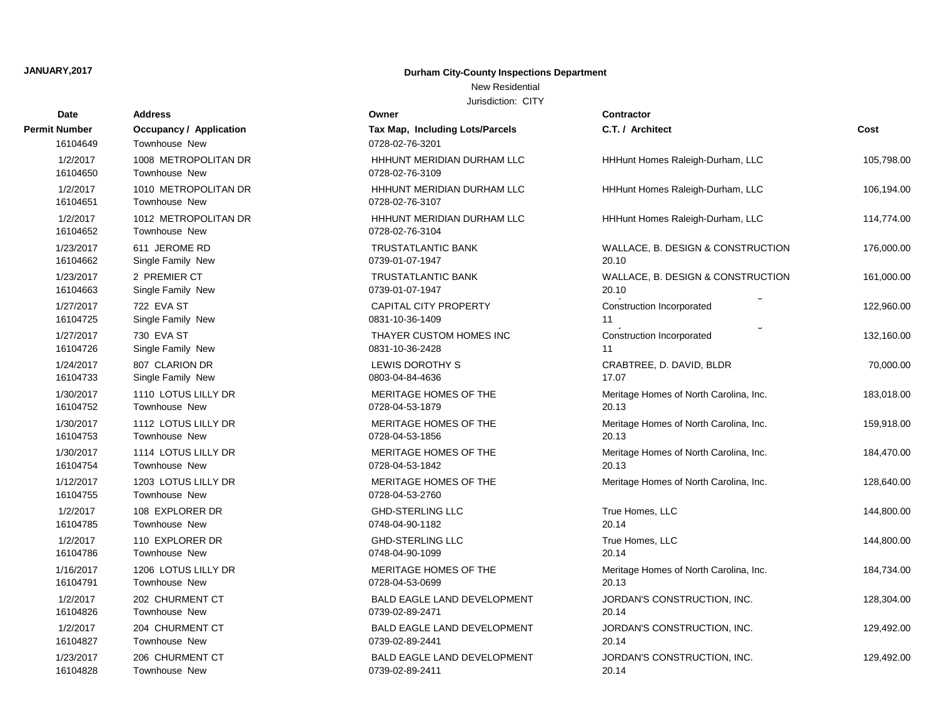### New Residential

| Date                      | Address                                                | Owner                                              | <b>Contractor</b>                                       |            |
|---------------------------|--------------------------------------------------------|----------------------------------------------------|---------------------------------------------------------|------------|
| Permit Number<br>16104649 | <b>Occupancy / Application</b><br><b>Townhouse New</b> | Tax Map, Including Lots/Parcels<br>0728-02-76-3201 | C.T. / Architect                                        | Cost       |
| 1/2/2017<br>16104650      | 1008 METROPOLITAN DR<br>Townhouse New                  | HHHUNT MERIDIAN DURHAM LLC<br>0728-02-76-3109      | HHHunt Homes Raleigh-Durham, LLC                        | 105,798.00 |
| 1/2/2017<br>16104651      | 1010 METROPOLITAN DR<br><b>Townhouse New</b>           | HHHUNT MERIDIAN DURHAM LLC<br>0728-02-76-3107      | HHHunt Homes Raleigh-Durham, LLC                        | 106,194.00 |
| 1/2/2017<br>16104652      | 1012 METROPOLITAN DR<br><b>Townhouse New</b>           | HHHUNT MERIDIAN DURHAM LLC<br>0728-02-76-3104      | HHHunt Homes Raleigh-Durham, LLC                        | 114,774.00 |
| 1/23/2017                 | 611 JEROME RD                                          | <b>TRUSTATLANTIC BANK</b>                          | WALLACE, B. DESIGN & CONSTRUCTION                       | 176,000.00 |
| 16104662                  | Single Family New                                      | 0739-01-07-1947                                    | 20.10                                                   |            |
| 1/23/2017                 | 2 PREMIER CT                                           | <b>TRUSTATLANTIC BANK</b>                          | WALLACE, B. DESIGN & CONSTRUCTION                       | 161,000.00 |
| 16104663                  | Single Family New                                      | 0739-01-07-1947                                    | 20.10                                                   |            |
| 1/27/2017<br>16104725     | 722 EVA ST<br>Single Family New                        | <b>CAPITAL CITY PROPERTY</b><br>0831-10-36-1409    | Construction Incorporated<br>11<br>$\ddot{\phantom{0}}$ | 122,960.00 |
| 1/27/2017                 | 730 EVA ST                                             | THAYER CUSTOM HOMES INC                            | Construction Incorporated                               | 132,160.00 |
| 16104726                  | Single Family New                                      | 0831-10-36-2428                                    | 11                                                      |            |
| 1/24/2017                 | 807 CLARION DR                                         | LEWIS DOROTHY S                                    | CRABTREE, D. DAVID, BLDR                                | 70,000.00  |
| 16104733                  | Single Family New                                      | 0803-04-84-4636                                    | 17.07                                                   |            |
| 1/30/2017                 | 1110 LOTUS LILLY DR                                    | MERITAGE HOMES OF THE                              | Meritage Homes of North Carolina, Inc.                  | 183,018.00 |
| 16104752                  | <b>Townhouse New</b>                                   | 0728-04-53-1879                                    | 20.13                                                   |            |
| 1/30/2017                 | 1112 LOTUS LILLY DR                                    | MERITAGE HOMES OF THE                              | Meritage Homes of North Carolina, Inc.                  | 159,918.00 |
| 16104753                  | <b>Townhouse New</b>                                   | 0728-04-53-1856                                    | 20.13                                                   |            |
| 1/30/2017                 | 1114 LOTUS LILLY DR                                    | MERITAGE HOMES OF THE                              | Meritage Homes of North Carolina, Inc.                  | 184,470.00 |
| 16104754                  | Townhouse New                                          | 0728-04-53-1842                                    | 20.13                                                   |            |
| 1/12/2017<br>16104755     | 1203 LOTUS LILLY DR<br>Townhouse New                   | MERITAGE HOMES OF THE<br>0728-04-53-2760           | Meritage Homes of North Carolina, Inc.                  | 128,640.00 |
| 1/2/2017                  | 108 EXPLORER DR                                        | <b>GHD-STERLING LLC</b>                            | True Homes, LLC                                         | 144,800.00 |
| 16104785                  | <b>Townhouse New</b>                                   | 0748-04-90-1182                                    | 20.14                                                   |            |
| 1/2/2017                  | 110 EXPLORER DR                                        | <b>GHD-STERLING LLC</b>                            | True Homes, LLC                                         | 144,800.00 |
| 16104786                  | <b>Townhouse New</b>                                   | 0748-04-90-1099                                    | 20.14                                                   |            |
| 1/16/2017                 | 1206 LOTUS LILLY DR                                    | MERITAGE HOMES OF THE                              | Meritage Homes of North Carolina, Inc.                  | 184,734.00 |
| 16104791                  | <b>Townhouse New</b>                                   | 0728-04-53-0699                                    | 20.13                                                   |            |
| 1/2/2017                  | 202 CHURMENT CT                                        | <b>BALD EAGLE LAND DEVELOPMENT</b>                 | JORDAN'S CONSTRUCTION, INC.                             | 128,304.00 |
| 16104826                  | <b>Townhouse New</b>                                   | 0739-02-89-2471                                    | 20.14                                                   |            |
| 1/2/2017                  | 204 CHURMENT CT                                        | <b>BALD EAGLE LAND DEVELOPMENT</b>                 | JORDAN'S CONSTRUCTION, INC.                             | 129,492.00 |
| 16104827                  | <b>Townhouse New</b>                                   | 0739-02-89-2441                                    | 20.14                                                   |            |
| 1/23/2017                 | 206 CHURMENT CT                                        | <b>BALD EAGLE LAND DEVELOPMENT</b>                 | JORDAN'S CONSTRUCTION, INC.                             | 129,492.00 |
| 16104828                  | <b>Townhouse New</b>                                   | 0739-02-89-2411                                    | 20.14                                                   |            |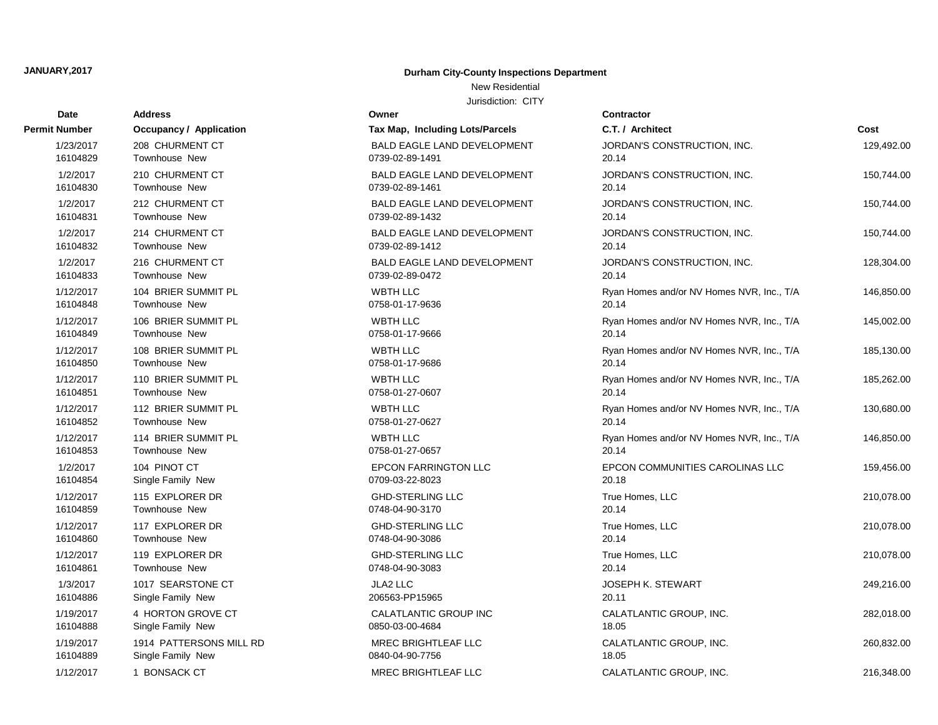# **Date Contractor Address Owner Permit Number Occupancy / Application Tax Map, Including Lots/Parcels C. C.** 16104889 Single Family New 18.05 and 10840-04-90-7756 Single Family New 19.05.05 and 1 16104888 Single Family New 20850-03-00-4684 1/19/2017 1914 PATTERSONS MILL RD MREC BRIGHTLEAF LLC CALATLANTIC GROUP, INC. 260, 16104886 Single Family New 206563-PP15965 1/19/2017 4 HORTON GROVE CT CALATLANTIC GROUP INC C 16104861 Townhouse New 0748-04-90-3083 20.14 1/3/2017 1017 SEARSTONE CT 16104860 Townhouse New 2001 16104860 Townhouse New 2001 16104860 20.148-04-90-3086 16104859 Townhouse New 2001 10:00:00 0748-04-90-3170 16104854 Single Family New 2010 10709-03-22-8023 16104853 Townhouse New 0758-01-27-0657 20.14 16104852 Townhouse New 2001 2015 16104852 20.147.10627 16104851 Townhouse New 2007 10058-01-27-0607 16104850 Townhouse New 16104849 Townhouse New 16104848 Townhouse New 1/12/2017 106 BRIER SUMMIT PL WBTH LLC WBTH LLC 16104833 Townhouse New 0739-02-89-0472 20.14 1/12/2017 104 BRIER SUMMIT PL WBTH LLC WBTH LLC 16104832 Townhouse New 0739-02-89-1412 2 16104831 Townhouse New 2008 and 2008/02-89-1432 16104830 Townhouse New 2008 and 2008/02-89-1461 1/2/2017 212 CHURMENT CT 16104829 Townhouse New 2008 10039-02-89-1491 1/23/2017 208 CHURMENT CT BALD EAGLE LAND DEVELOPMENT

## **JANUARY,2017 Durham City-County Inspections Department**

New Residential

| Tax Map, Including Lots/Parcels                       |
|-------------------------------------------------------|
| <b>BALD EAGLE LAND DEVELOPMENT</b><br>0739-02-89-1491 |
| <b>BALD EAGLE LAND DEVELOPMENT</b><br>0739-02-89-1461 |
| <b>BALD EAGLE LAND DEVELOPMENT</b><br>0739-02-89-1432 |
| <b>BALD EAGLE LAND DEVELOPMENT</b><br>0739-02-89-1412 |
| <b>BALD EAGLE LAND DEVELOPMENT</b><br>0739-02-89-0472 |
| <b>WBTH LLC</b><br>0758-01-17-9636                    |
| <b>WBTH LLC</b><br>0758-01-17-9666                    |
| <b>WBTH LLC</b><br>0758-01-17-9686                    |
| <b>WBTH LLC</b><br>0758-01-27-0607                    |
| <b>WBTH LLC</b><br>0758-01-27-0627                    |
| <b>WBTH LLC</b><br>0758-01-27-0657                    |
| <b>EPCON FARRINGTON LLC</b><br>0709-03-22-8023        |
| <b>GHD-STERLING LLC</b><br>0748-04-90-3170            |
| <b>GHD-STERLING LLC</b><br>0748-04-90-3086            |
| <b>GHD-STERLING LLC</b><br>0748-04-90-3083            |
| <b>JLA2 LLC</b><br>206563-PP15965                     |
| CALATLANTIC GROUP INC<br>0850-03-00-4684              |
| <b>MREC BRIGHTLEAF LLC</b><br>0840-04-90-7756         |
| MREC BRIGHTLEAF LLC                                   |

| Number    | <b>Occupancy / Application</b> | Tax Map, Including Lots/Parcels    | C.T. / Architect                          | Cost       |
|-----------|--------------------------------|------------------------------------|-------------------------------------------|------------|
| 1/23/2017 | 208 CHURMENT CT                | BALD EAGLE LAND DEVELOPMENT        | JORDAN'S CONSTRUCTION, INC.               | 129,492.00 |
| 16104829  | <b>Townhouse New</b>           | 0739-02-89-1491                    | 20.14                                     |            |
| 1/2/2017  | 210 CHURMENT CT                | <b>BALD EAGLE LAND DEVELOPMENT</b> | JORDAN'S CONSTRUCTION, INC.               | 150,744.00 |
| 16104830  | <b>Townhouse New</b>           | 0739-02-89-1461                    | 20.14                                     |            |
| 1/2/2017  | 212 CHURMENT CT                | <b>BALD EAGLE LAND DEVELOPMENT</b> | JORDAN'S CONSTRUCTION, INC.               | 150,744.00 |
| 16104831  | <b>Townhouse New</b>           | 0739-02-89-1432                    | 20.14                                     |            |
| 1/2/2017  | 214 CHURMENT CT                | BALD EAGLE LAND DEVELOPMENT        | JORDAN'S CONSTRUCTION, INC.               | 150,744.00 |
| 16104832  | <b>Townhouse New</b>           | 0739-02-89-1412                    | 20.14                                     |            |
| 1/2/2017  | 216 CHURMENT CT                | <b>BALD EAGLE LAND DEVELOPMENT</b> | JORDAN'S CONSTRUCTION, INC.               | 128,304.00 |
| 16104833  | <b>Townhouse New</b>           | 0739-02-89-0472                    | 20.14                                     |            |
| 1/12/2017 | 104 BRIER SUMMIT PL            | WBTH LLC                           | Ryan Homes and/or NV Homes NVR, Inc., T/A | 146,850.00 |
| 16104848  | <b>Townhouse New</b>           | 0758-01-17-9636                    | 20.14                                     |            |
| 1/12/2017 | 106 BRIER SUMMIT PL            | WBTH LLC                           | Ryan Homes and/or NV Homes NVR, Inc., T/A | 145,002.00 |
| 16104849  | Townhouse New                  | 0758-01-17-9666                    | 20.14                                     |            |
| 1/12/2017 | 108 BRIER SUMMIT PL            | <b>WBTH LLC</b>                    | Ryan Homes and/or NV Homes NVR, Inc., T/A | 185,130.00 |
| 16104850  | Townhouse New                  | 0758-01-17-9686                    | 20.14                                     |            |
| 1/12/2017 | 110 BRIER SUMMIT PL            | WBTH LLC                           | Ryan Homes and/or NV Homes NVR, Inc., T/A | 185,262.00 |
| 16104851  | Townhouse New                  | 0758-01-27-0607                    | 20.14                                     |            |
| 1/12/2017 | 112 BRIER SUMMIT PL            | <b>WBTH LLC</b>                    | Ryan Homes and/or NV Homes NVR, Inc., T/A | 130,680.00 |
| 16104852  | <b>Townhouse New</b>           | 0758-01-27-0627                    | 20.14                                     |            |
| 1/12/2017 | 114 BRIER SUMMIT PL            | WBTH LLC                           | Ryan Homes and/or NV Homes NVR, Inc., T/A | 146,850.00 |
| 16104853  | <b>Townhouse New</b>           | 0758-01-27-0657                    | 20.14                                     |            |
| 1/2/2017  | 104 PINOT CT                   | <b>EPCON FARRINGTON LLC</b>        | EPCON COMMUNITIES CAROLINAS LLC           | 159,456.00 |
| 16104854  | Single Family New              | 0709-03-22-8023                    | 20.18                                     |            |
| 1/12/2017 | 115 EXPLORER DR                | <b>GHD-STERLING LLC</b>            | True Homes, LLC                           | 210,078.00 |
| 16104859  | <b>Townhouse New</b>           | 0748-04-90-3170                    | 20.14                                     |            |
| 1/12/2017 | 117 EXPLORER DR                | <b>GHD-STERLING LLC</b>            | True Homes, LLC                           | 210,078.00 |
| 16104860  | Townhouse New                  | 0748-04-90-3086                    | 20.14                                     |            |
| 1/12/2017 | 119 EXPLORER DR                | <b>GHD-STERLING LLC</b>            | True Homes, LLC                           | 210,078.00 |
| 16104861  | <b>Townhouse New</b>           | 0748-04-90-3083                    | 20.14                                     |            |
| 1/3/2017  | 1017 SEARSTONE CT              | JLA2 LLC                           | <b>JOSEPH K. STEWART</b>                  | 249,216.00 |
| 16104886  | Single Family New              | 206563-PP15965                     | 20.11                                     |            |
| 1/19/2017 | 4 HORTON GROVE CT              | CALATLANTIC GROUP INC              | CALATLANTIC GROUP, INC.                   | 282,018.00 |
| 16104888  | Single Family New              | 0850-03-00-4684                    | 18.05                                     |            |
| 1/19/2017 | 1914 PATTERSONS MILL RD        | <b>MREC BRIGHTLEAF LLC</b>         | CALATLANTIC GROUP, INC.                   | 260,832.00 |
| 16104889  | Single Family New              | 0840-04-90-7756                    | 18.05                                     |            |
| 1/12/2017 | 1 BONSACK CT                   | MREC BRIGHTLEAF LLC                | CALATLANTIC GROUP, INC.                   | 216,348.00 |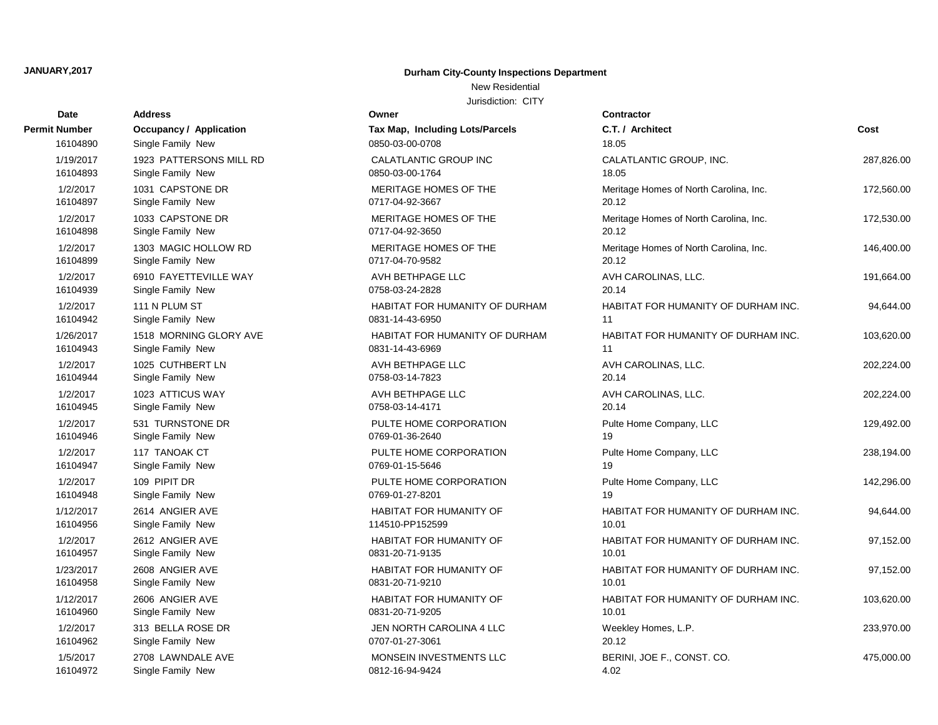New Residential

| Date                 | <b>Address</b>                 | Owner                           | Contractor       |
|----------------------|--------------------------------|---------------------------------|------------------|
| <b>Permit Number</b> | <b>Occupancy / Application</b> | Tax Map, Including Lots/Parcels | C.T. / Arch      |
| 16104890             | Single Family New              | 0850-03-00-0708                 | 18.05            |
| 1/19/2017            | 1923 PATTERSONS MILL RD        | CALATLANTIC GROUP INC           | CALATLAN         |
| 16104893             | Single Family New              | 0850-03-00-1764                 | 18.05            |
| 1/2/2017             | 1031 CAPSTONE DR               | MERITAGE HOMES OF THE           | Meritage Ho      |
| 16104897             | Single Family New              | 0717-04-92-3667                 | 20.12            |
| 1/2/2017             | 1033 CAPSTONE DR               | MERITAGE HOMES OF THE           | Meritage Ho      |
| 16104898             | Single Family New              | 0717-04-92-3650                 | 20.12            |
| 1/2/2017             | 1303 MAGIC HOLLOW RD           | MERITAGE HOMES OF THE           | Meritage He      |
| 16104899             | Single Family New              | 0717-04-70-9582                 | 20.12            |
| 1/2/2017             | 6910 FAYETTEVILLE WAY          | AVH BETHPAGE LLC                | <b>AVH CARC</b>  |
| 16104939             | Single Family New              | 0758-03-24-2828                 | 20.14            |
| 1/2/2017             | 111 N PLUM ST                  | HABITAT FOR HUMANITY OF DURHAM  | <b>HABITAT F</b> |
| 16104942             | Single Family New              | 0831-14-43-6950                 | 11               |
| 1/26/2017            | 1518 MORNING GLORY AVE         | HABITAT FOR HUMANITY OF DURHAM  | <b>HABITAT F</b> |
| 16104943             | Single Family New              | 0831-14-43-6969                 | 11               |
| 1/2/2017             | 1025 CUTHBERT LN               | AVH BETHPAGE LLC                | <b>AVH CARC</b>  |
| 16104944             | Single Family New              | 0758-03-14-7823                 | 20.14            |
| 1/2/2017             | 1023 ATTICUS WAY               | AVH BETHPAGE LLC                | <b>AVH CARC</b>  |
| 16104945             | Single Family New              | 0758-03-14-4171                 | 20.14            |
| 1/2/2017             | 531 TURNSTONE DR               | PULTE HOME CORPORATION          | Pulte Home       |
| 16104946             | Single Family New              | 0769-01-36-2640                 | 19               |
| 1/2/2017             | 117 TANOAK CT                  | PULTE HOME CORPORATION          | Pulte Home       |
| 16104947             | Single Family New              | 0769-01-15-5646                 | 19               |
| 1/2/2017             | 109 PIPIT DR                   | PULTE HOME CORPORATION          | Pulte Home       |
| 16104948             | Single Family New              | 0769-01-27-8201                 | 19               |
| 1/12/2017            | 2614 ANGIER AVE                | HABITAT FOR HUMANITY OF         | <b>HABITAT F</b> |
| 16104956             | Single Family New              | 114510-PP152599                 | 10.01            |
| 1/2/2017             | 2612 ANGIER AVE                | HABITAT FOR HUMANITY OF         | <b>HABITAT F</b> |
| 16104957             | Single Family New              | 0831-20-71-9135                 | 10.01            |
| 1/23/2017            | 2608 ANGIER AVE                | HABITAT FOR HUMANITY OF         | <b>HABITAT F</b> |
| 16104958             | Single Family New              | 0831-20-71-9210                 | 10.01            |
| 1/12/2017            | 2606 ANGIER AVE                | HABITAT FOR HUMANITY OF         | <b>HABITAT F</b> |
| 16104960             | Single Family New              | 0831-20-71-9205                 | 10.01            |
| 1/2/2017             | 313 BELLA ROSE DR              | JEN NORTH CAROLINA 4 LLC        | Weekley Ho       |
| 16104962             | Single Family New              | 0707-01-27-3061                 | 20.12            |
| 1/5/2017             | 2708 LAWNDALE AVE              | MONSEIN INVESTMENTS LLC         | BERINI, JO       |
| 16104972             | Single Family New              | 0812-16-94-9424                 | 4.02             |

| υαισ                 | nuuress                            |                                           |                                        |            |
|----------------------|------------------------------------|-------------------------------------------|----------------------------------------|------------|
| Number               | <b>Occupancy / Application</b>     | Tax Map, Including Lots/Parcels           | C.T. / Architect                       | Cost       |
| 16104890             | Single Family New                  | 0850-03-00-0708                           | 18.05                                  |            |
| 1/19/2017            | 1923 PATTERSONS MILL RD            | CALATLANTIC GROUP INC                     | CALATLANTIC GROUP, INC.                | 287,826.00 |
| 16104893             | Single Family New                  | 0850-03-00-1764                           | 18.05                                  |            |
| 1/2/2017             | 1031 CAPSTONE DR                   | MERITAGE HOMES OF THE                     | Meritage Homes of North Carolina, Inc. | 172,560.00 |
| 16104897             | Single Family New                  | 0717-04-92-3667                           | 20.12                                  |            |
| 1/2/2017             | 1033 CAPSTONE DR                   | MERITAGE HOMES OF THE                     | Meritage Homes of North Carolina, Inc. | 172,530.00 |
| 16104898             | Single Family New                  | 0717-04-92-3650                           | 20.12                                  |            |
| 1/2/2017             | 1303 MAGIC HOLLOW RD               | MERITAGE HOMES OF THE                     | Meritage Homes of North Carolina, Inc. | 146,400.00 |
| 16104899             | Single Family New                  | 0717-04-70-9582                           | 20.12                                  |            |
| 1/2/2017             | 6910 FAYETTEVILLE WAY              | AVH BETHPAGE LLC                          | AVH CAROLINAS, LLC.                    | 191,664.00 |
| 16104939             | Single Family New                  | 0758-03-24-2828                           | 20.14                                  |            |
| 1/2/2017             | 111 N PLUM ST                      | HABITAT FOR HUMANITY OF DURHAM            | HABITAT FOR HUMANITY OF DURHAM INC.    | 94,644.00  |
| 16104942             | Single Family New                  | 0831-14-43-6950                           | 11                                     |            |
| 1/26/2017            | 1518 MORNING GLORY AVE             | HABITAT FOR HUMANITY OF DURHAM            | HABITAT FOR HUMANITY OF DURHAM INC.    | 103,620.00 |
| 16104943             | Single Family New                  | 0831-14-43-6969                           | 11                                     |            |
| 1/2/2017             | 1025 CUTHBERT LN                   | AVH BETHPAGE LLC                          | AVH CAROLINAS, LLC.                    | 202,224.00 |
| 16104944             | Single Family New                  | 0758-03-14-7823                           | 20.14                                  |            |
| 1/2/2017             | 1023 ATTICUS WAY                   | AVH BETHPAGE LLC                          | AVH CAROLINAS, LLC.                    | 202,224.00 |
| 16104945             | Single Family New                  | 0758-03-14-4171                           | 20.14                                  |            |
| 1/2/2017             | 531 TURNSTONE DR                   | PULTE HOME CORPORATION                    | Pulte Home Company, LLC<br>19          | 129,492.00 |
| 16104946             | Single Family New                  | 0769-01-36-2640                           |                                        |            |
| 1/2/2017<br>16104947 | 117 TANOAK CT<br>Single Family New | PULTE HOME CORPORATION<br>0769-01-15-5646 | Pulte Home Company, LLC<br>19          | 238,194.00 |
|                      |                                    |                                           |                                        |            |
| 1/2/2017<br>16104948 | 109 PIPIT DR<br>Single Family New  | PULTE HOME CORPORATION<br>0769-01-27-8201 | Pulte Home Company, LLC<br>19          | 142,296.00 |
| 1/12/2017            | 2614 ANGIER AVE                    | HABITAT FOR HUMANITY OF                   | HABITAT FOR HUMANITY OF DURHAM INC.    |            |
| 16104956             | Single Family New                  | 114510-PP152599                           | 10.01                                  | 94,644.00  |
| 1/2/2017             | 2612 ANGIER AVE                    | <b>HABITAT FOR HUMANITY OF</b>            | HABITAT FOR HUMANITY OF DURHAM INC.    | 97,152.00  |
| 16104957             | Single Family New                  | 0831-20-71-9135                           | 10.01                                  |            |
| 1/23/2017            | 2608 ANGIER AVE                    | HABITAT FOR HUMANITY OF                   | HABITAT FOR HUMANITY OF DURHAM INC.    | 97,152.00  |
| 16104958             | Single Family New                  | 0831-20-71-9210                           | 10.01                                  |            |
| 1/12/2017            | 2606 ANGIER AVE                    | HABITAT FOR HUMANITY OF                   | HABITAT FOR HUMANITY OF DURHAM INC.    | 103,620.00 |
| 16104960             | Single Family New                  | 0831-20-71-9205                           | 10.01                                  |            |
| 1/2/2017             | 313 BELLA ROSE DR                  | JEN NORTH CAROLINA 4 LLC                  | Weekley Homes, L.P.                    | 233,970.00 |
| 16104962             | Single Family New                  | 0707-01-27-3061                           | 20.12                                  |            |
| 1/5/2017             | 2708 LAWNDALE AVE                  | MONSEIN INVESTMENTS LLC                   | BERINI, JOE F., CONST. CO.             | 475,000.00 |
| 16104972             | Single Family New                  | 0812-16-94-9424                           | 4.02                                   |            |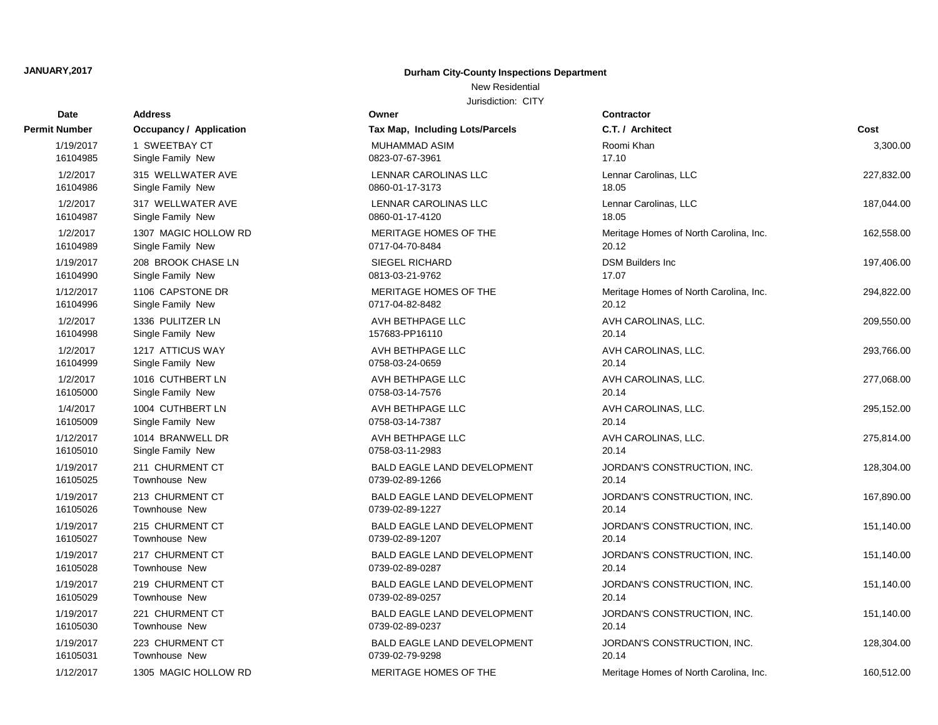# **Date Contractor Address Owner Permit Number COCCUPANCY / Application Tax Map, Including Lots** 16105031 Townhouse New 2012 10:00:00 0739-02-79-9298 1/12/2017 1305 MAGIC HOLLOW RD MERITAGE HO 16105030 Townhouse New 2012 2020 2020 2020 2020 2020 2020 2037 2012 2020 2037 2014 2020 2037 16105029 Townhouse New 2010 10:00 10:00 10:00 10:00 10:00 10:00 10:00 10:00 10:00 10:00 10:00 10:00 10:00 10:0 16105028 Townhouse New 2012 2020 2020 2020 2020 2020 2020 2030 2040 2050 2061 2012 2020 2031 2012 201 16105027 Townhouse New 20739-02-89-1207 16105026 Townhouse New 20739-02-89-1227 16105025 Townhouse New 2012/07/0739-02-89-1266 16105010 Single Family New 0758-03-11-2983 16105009 Single Family New 20758-03-14-7387 1/12/2017 1014 BRANWELL DR **AVH BETHPAG** 16105000 Single Family New 20158-03-14-7576 16104999 Single Family New 0758-03-24-0659 16104998 Single Family New 157683-PP1611 16104996 Single Family New 0717-04-82-8482 16104990 Single Family New 0813-03-21-9762 16104989 Single Family New 0717-04-70-8484 1/19/2017 208 BROOK CHASE LN SIEGEL RICHA 16104987 Single Family New 0860-01-17-4120 1/2/2017 1307 MAGIC HOLLOW RD MERITAGE HO 16104986 Single Family New 0860-01-17-3173 1/2/2017 317 WELLWATER AVE LENNAR CARO 16104985 Single Family New 0823-07-67-396 1/2/2017 315 WELLWATER AVE **Report CAROLINAS LENNAR CAROLINAS**

### **JANUARY,2017 Durham City-County Inspections Department**

New Residential

| ναισ      |                                |                                    |                                        |            |
|-----------|--------------------------------|------------------------------------|----------------------------------------|------------|
| Number    | <b>Occupancy / Application</b> | Tax Map, Including Lots/Parcels    | C.T. / Architect                       | Cost       |
| 1/19/2017 | 1 SWEETBAY CT                  | MUHAMMAD ASIM                      | Roomi Khan                             | 3,300.00   |
| 16104985  | Single Family New              | 0823-07-67-3961                    | 17.10                                  |            |
| 1/2/2017  | 315 WELLWATER AVE              | LENNAR CAROLINAS LLC               | Lennar Carolinas, LLC                  | 227,832.00 |
| 16104986  | Single Family New              | 0860-01-17-3173                    | 18.05                                  |            |
| 1/2/2017  | 317 WELLWATER AVE              | LENNAR CAROLINAS LLC               | Lennar Carolinas, LLC                  | 187,044.00 |
| 16104987  | Single Family New              | 0860-01-17-4120                    | 18.05                                  |            |
| 1/2/2017  | 1307 MAGIC HOLLOW RD           | MERITAGE HOMES OF THE              | Meritage Homes of North Carolina, Inc. | 162,558.00 |
| 16104989  | Single Family New              | 0717-04-70-8484                    | 20.12                                  |            |
| 1/19/2017 | 208 BROOK CHASE LN             | <b>SIEGEL RICHARD</b>              | <b>DSM Builders Inc</b>                | 197,406.00 |
| 16104990  | Single Family New              | 0813-03-21-9762                    | 17.07                                  |            |
| 1/12/2017 | 1106 CAPSTONE DR               | MERITAGE HOMES OF THE              | Meritage Homes of North Carolina, Inc. | 294,822.00 |
| 16104996  | Single Family New              | 0717-04-82-8482                    | 20.12                                  |            |
| 1/2/2017  | 1336 PULITZER LN               | AVH BETHPAGE LLC                   | AVH CAROLINAS, LLC.                    | 209,550.00 |
| 16104998  | Single Family New              | 157683-PP16110                     | 20.14                                  |            |
| 1/2/2017  | 1217 ATTICUS WAY               | AVH BETHPAGE LLC                   | AVH CAROLINAS, LLC.                    | 293,766.00 |
| 16104999  | Single Family New              | 0758-03-24-0659                    | 20.14                                  |            |
| 1/2/2017  | 1016 CUTHBERT LN               | AVH BETHPAGE LLC                   | AVH CAROLINAS, LLC.                    | 277,068.00 |
| 16105000  | Single Family New              | 0758-03-14-7576                    | 20.14                                  |            |
| 1/4/2017  | 1004 CUTHBERT LN               | AVH BETHPAGE LLC                   | AVH CAROLINAS, LLC.                    | 295,152.00 |
| 16105009  | Single Family New              | 0758-03-14-7387                    | 20.14                                  |            |
| 1/12/2017 | 1014 BRANWELL DR               | AVH BETHPAGE LLC                   | AVH CAROLINAS, LLC.                    | 275,814.00 |
| 16105010  | Single Family New              | 0758-03-11-2983                    | 20.14                                  |            |
| 1/19/2017 | 211 CHURMENT CT                | <b>BALD EAGLE LAND DEVELOPMENT</b> | JORDAN'S CONSTRUCTION, INC.            | 128,304.00 |
| 16105025  | <b>Townhouse New</b>           | 0739-02-89-1266                    | 20.14                                  |            |
| 1/19/2017 | 213 CHURMENT CT                | <b>BALD EAGLE LAND DEVELOPMENT</b> | JORDAN'S CONSTRUCTION, INC.            | 167,890.00 |
| 16105026  | <b>Townhouse New</b>           | 0739-02-89-1227                    | 20.14                                  |            |
| 1/19/2017 | 215 CHURMENT CT                | <b>BALD EAGLE LAND DEVELOPMENT</b> | JORDAN'S CONSTRUCTION, INC.            | 151,140.00 |
| 16105027  | <b>Townhouse New</b>           | 0739-02-89-1207                    | 20.14                                  |            |
| 1/19/2017 | 217 CHURMENT CT                | <b>BALD EAGLE LAND DEVELOPMENT</b> | JORDAN'S CONSTRUCTION, INC.            | 151,140.00 |
| 16105028  | Townhouse New                  | 0739-02-89-0287                    | 20.14                                  |            |
| 1/19/2017 | 219 CHURMENT CT                | <b>BALD EAGLE LAND DEVELOPMENT</b> | JORDAN'S CONSTRUCTION, INC.            | 151,140.00 |
| 16105029  | Townhouse New                  | 0739-02-89-0257                    | 20.14                                  |            |
| 1/19/2017 | 221 CHURMENT CT                | <b>BALD EAGLE LAND DEVELOPMENT</b> | JORDAN'S CONSTRUCTION, INC.            | 151,140.00 |
| 16105030  | <b>Townhouse New</b>           | 0739-02-89-0237                    | 20.14                                  |            |
| 1/19/2017 | 223 CHURMENT CT                | <b>BALD EAGLE LAND DEVELOPMENT</b> | JORDAN'S CONSTRUCTION, INC.            | 128,304.00 |
| 16105031  | <b>Townhouse New</b>           | 0739-02-79-9298                    | 20.14                                  |            |
| 1/12/2017 | 1305 MAGIC HOLLOW RD           | MERITAGE HOMES OF THE              | Meritage Homes of North Carolina, Inc. | 160,512.00 |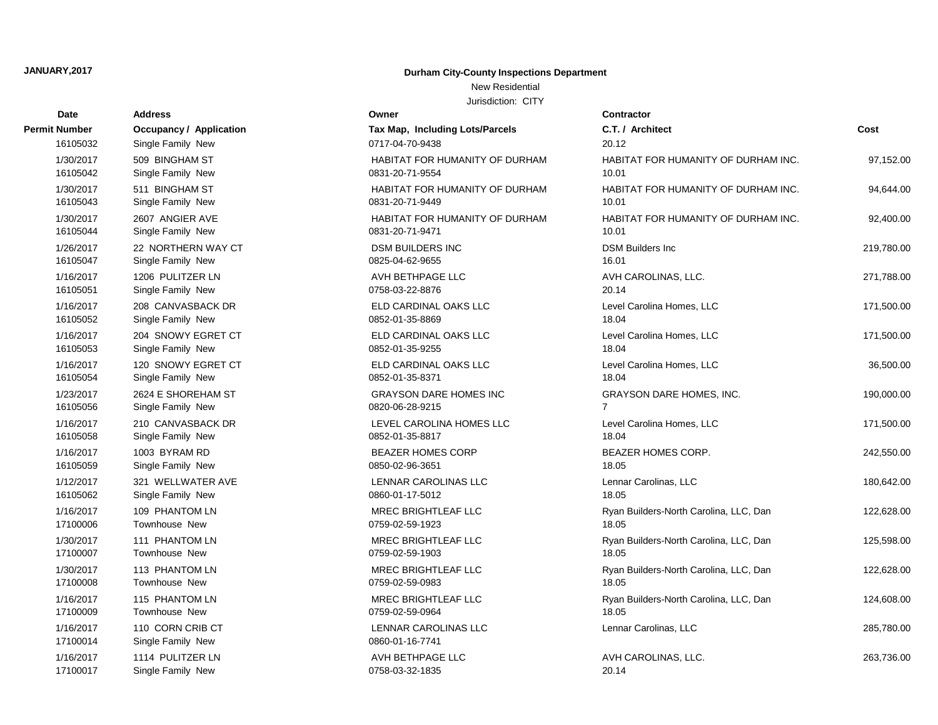## New Residential

| Date                  | <b>Address</b>                        | Owner                                          | <b>Contractor</b>      |
|-----------------------|---------------------------------------|------------------------------------------------|------------------------|
| Permit Number         | <b>Occupancy / Application</b>        | Tax Map, Including Lots/Parcels                | C.T. / Architect       |
| 16105032              | Single Family New                     | 0717-04-70-9438                                | 20.12                  |
| 1/30/2017             | 509 BINGHAM ST                        | HABITAT FOR HUMANITY OF DURHAM                 | <b>HABITAT FOR I</b>   |
| 16105042              | Single Family New                     | 0831-20-71-9554                                | 10.01                  |
| 1/30/2017             | 511 BINGHAM ST                        | HABITAT FOR HUMANITY OF DURHAM                 | <b>HABITAT FOR H</b>   |
| 16105043              | Single Family New                     | 0831-20-71-9449                                | 10.01                  |
| 1/30/2017             | 2607 ANGIER AVE                       | HABITAT FOR HUMANITY OF DURHAM                 | <b>HABITAT FOR I</b>   |
| 16105044              | Single Family New                     | 0831-20-71-9471                                | 10.01                  |
| 1/26/2017             | 22 NORTHERN WAY CT                    | <b>DSM BUILDERS INC</b>                        | <b>DSM Builders In</b> |
| 16105047              | Single Family New                     | 0825-04-62-9655                                | 16.01                  |
| 1/16/2017             | 1206 PULITZER LN                      | AVH BETHPAGE LLC                               | <b>AVH CAROLINA</b>    |
| 16105051              | Single Family New                     | 0758-03-22-8876                                | 20.14                  |
| 1/16/2017             | 208 CANVASBACK DR                     | ELD CARDINAL OAKS LLC                          | Level Carolina H       |
| 16105052              | Single Family New                     | 0852-01-35-8869                                | 18.04                  |
| 1/16/2017             | 204 SNOWY EGRET CT                    | ELD CARDINAL OAKS LLC                          | Level Carolina H       |
| 16105053              | Single Family New                     | 0852-01-35-9255                                | 18.04                  |
| 1/16/2017             | 120 SNOWY EGRET CT                    | ELD CARDINAL OAKS LLC                          | Level Carolina H       |
| 16105054              | Single Family New                     | 0852-01-35-8371                                | 18.04                  |
| 1/23/2017             | 2624 E SHOREHAM ST                    | <b>GRAYSON DARE HOMES INC</b>                  | GRAYSON DAR            |
| 16105056              | Single Family New                     | 0820-06-28-9215                                | $\overline{7}$         |
| 1/16/2017             | 210 CANVASBACK DR                     | LEVEL CAROLINA HOMES LLC                       | Level Carolina H       |
| 16105058              | Single Family New                     | 0852-01-35-8817                                | 18.04                  |
| 1/16/2017             | 1003 BYRAM RD                         | <b>BEAZER HOMES CORP</b>                       | <b>BEAZER HOME</b>     |
| 16105059              | Single Family New                     | 0850-02-96-3651                                | 18.05                  |
| 1/12/2017             | 321 WELLWATER AVE                     | LENNAR CAROLINAS LLC                           | Lennar Carolinas       |
| 16105062              | Single Family New                     | 0860-01-17-5012                                | 18.05                  |
| 1/16/2017             | 109 PHANTOM LN                        | <b>MREC BRIGHTLEAF LLC</b>                     | Ryan Builders-N        |
| 17100006              | <b>Townhouse New</b>                  | 0759-02-59-1923                                | 18.05                  |
| 1/30/2017             | 111 PHANTOM LN                        | <b>MREC BRIGHTLEAF LLC</b>                     | Ryan Builders-N        |
| 17100007              | <b>Townhouse New</b>                  | 0759-02-59-1903                                | 18.05                  |
| 1/30/2017             | 113 PHANTOM LN                        | MREC BRIGHTLEAF LLC                            | Ryan Builders-N        |
| 17100008              | <b>Townhouse New</b>                  | 0759-02-59-0983                                | 18.05                  |
| 1/16/2017             | 115 PHANTOM LN                        | <b>MREC BRIGHTLEAF LLC</b>                     | Ryan Builders-N        |
| 17100009              | Townhouse New                         | 0759-02-59-0964                                | 18.05                  |
| 1/16/2017<br>17100014 | 110 CORN CRIB CT<br>Single Family New | <b>LENNAR CAROLINAS LLC</b><br>0860-01-16-7741 | Lennar Carolinas       |
| 1/16/2017             | 1114 PULITZER LN                      | AVH BETHPAGE LLC                               | <b>AVH CAROLINA</b>    |
| 17100017              | Single Family New                     | 0758-03-32-1835                                | 20.14                  |

| Date      | <b>Address</b>                 | Owner                                 | <b>Contractor</b>  |
|-----------|--------------------------------|---------------------------------------|--------------------|
| Number    | <b>Occupancy / Application</b> | Tax Map, Including Lots/Parcels       | C.T. / Arch        |
| 16105032  | Single Family New              | 0717-04-70-9438                       | 20.12              |
| 1/30/2017 | 509 BINGHAM ST                 | HABITAT FOR HUMANITY OF DURHAM        | <b>HABITAT F</b>   |
| 16105042  | Single Family New              | 0831-20-71-9554                       | 10.01              |
| 1/30/2017 | 511 BINGHAM ST                 | HABITAT FOR HUMANITY OF DURHAM        | <b>HABITAT F</b>   |
| 16105043  | Single Family New              | 0831-20-71-9449                       | 10.01              |
| 1/30/2017 | 2607 ANGIER AVE                | <b>HABITAT FOR HUMANITY OF DURHAM</b> | <b>HABITAT F</b>   |
| 16105044  | Single Family New              | 0831-20-71-9471                       | 10.01              |
| 1/26/2017 | 22 NORTHERN WAY CT             | <b>DSM BUILDERS INC</b>               | <b>DSM Builde</b>  |
| 16105047  | Single Family New              | 0825-04-62-9655                       | 16.01              |
| 1/16/2017 | 1206 PULITZER LN               | AVH BETHPAGE LLC                      | <b>AVH CARC</b>    |
| 16105051  | Single Family New              | 0758-03-22-8876                       | 20.14              |
| 1/16/2017 | 208 CANVASBACK DR              | ELD CARDINAL OAKS LLC                 | Level Carol        |
| 16105052  | Single Family New              | 0852-01-35-8869                       | 18.04              |
| 1/16/2017 | 204 SNOWY EGRET CT             | ELD CARDINAL OAKS LLC                 | Level Carol        |
| 16105053  | Single Family New              | 0852-01-35-9255                       | 18.04              |
| 1/16/2017 | 120 SNOWY EGRET CT             | ELD CARDINAL OAKS LLC                 | <b>Level Carol</b> |
| 16105054  | Single Family New              | 0852-01-35-8371                       | 18.04              |
| 1/23/2017 | 2624 E SHOREHAM ST             | <b>GRAYSON DARE HOMES INC</b>         | <b>GRAYSON</b>     |
| 16105056  | Single Family New              | 0820-06-28-9215                       | $\overline{7}$     |
| 1/16/2017 | 210 CANVASBACK DR              | LEVEL CAROLINA HOMES LLC              | Level Carol        |
| 16105058  | Single Family New              | 0852-01-35-8817                       | 18.04              |
| 1/16/2017 | 1003 BYRAM RD                  | <b>BEAZER HOMES CORP</b>              | <b>BEAZER H</b>    |
| 16105059  | Single Family New              | 0850-02-96-3651                       | 18.05              |
| 1/12/2017 | 321 WELLWATER AVE              | LENNAR CAROLINAS LLC                  | Lennar Car         |
| 16105062  | Single Family New              | 0860-01-17-5012                       | 18.05              |
| 1/16/2017 | 109 PHANTOM LN                 | MREC BRIGHTLEAF LLC                   | Ryan Build         |
| 17100006  | Townhouse New                  | 0759-02-59-1923                       | 18.05              |
| 1/30/2017 | 111 PHANTOM LN                 | MREC BRIGHTLEAF LLC                   | Ryan Build         |
| 17100007  | Townhouse New                  | 0759-02-59-1903                       | 18.05              |
| 1/30/2017 | 113 PHANTOM LN                 | MREC BRIGHTLEAF LLC                   | Ryan Build         |
| 17100008  | Townhouse New                  | 0759-02-59-0983                       | 18.05              |
| 1/16/2017 | 115 PHANTOM LN                 | MREC BRIGHTLEAF LLC                   | Ryan Build         |
| 17100009  | Townhouse New                  | 0759-02-59-0964                       | 18.05              |
| 1/16/2017 | 110 CORN CRIB CT               | LENNAR CAROLINAS LLC                  | Lennar Car         |
| 17100014  | Single Family New              | 0860-01-16-7741                       |                    |
| 1/16/2017 | 1114 PULITZER LN               | AVH BETHPAGE LLC                      | <b>AVH CARC</b>    |
| 17100017  | Single Family, New             | 0758-03-32-1835                       | 20.11              |

| ναισ                  |                                     |                                                   |                                              |            |
|-----------------------|-------------------------------------|---------------------------------------------------|----------------------------------------------|------------|
| Number                | <b>Occupancy / Application</b>      | Tax Map, Including Lots/Parcels                   | C.T. / Architect                             | Cost       |
| 16105032              | Single Family New                   | 0717-04-70-9438                                   | 20.12                                        |            |
| 1/30/2017             | 509 BINGHAM ST                      | HABITAT FOR HUMANITY OF DURHAM                    | HABITAT FOR HUMANITY OF DURHAM INC.          | 97,152.00  |
| 16105042              | Single Family New                   | 0831-20-71-9554                                   | 10.01                                        |            |
| 1/30/2017<br>16105043 | 511 BINGHAM ST<br>Single Family New | HABITAT FOR HUMANITY OF DURHAM<br>0831-20-71-9449 | HABITAT FOR HUMANITY OF DURHAM INC.<br>10.01 | 94,644.00  |
| 1/30/2017             | 2607 ANGIER AVE                     | HABITAT FOR HUMANITY OF DURHAM                    | HABITAT FOR HUMANITY OF DURHAM INC.          | 92,400.00  |
| 16105044              | Single Family New                   | 0831-20-71-9471                                   | 10.01                                        |            |
| 1/26/2017             | 22 NORTHERN WAY CT                  | <b>DSM BUILDERS INC</b>                           | <b>DSM Builders Inc</b>                      | 219,780.00 |
| 16105047              | Single Family New                   | 0825-04-62-9655                                   | 16.01                                        |            |
| 1/16/2017             | 1206 PULITZER LN                    | AVH BETHPAGE LLC                                  | AVH CAROLINAS, LLC.                          | 271,788.00 |
| 16105051              | Single Family New                   | 0758-03-22-8876                                   | 20.14                                        |            |
| 1/16/2017             | 208 CANVASBACK DR                   | ELD CARDINAL OAKS LLC                             | Level Carolina Homes, LLC                    | 171,500.00 |
| 16105052              | Single Family New                   | 0852-01-35-8869                                   | 18.04                                        |            |
| 1/16/2017             | 204 SNOWY EGRET CT                  | ELD CARDINAL OAKS LLC                             | Level Carolina Homes, LLC                    | 171,500.00 |
| 16105053              | Single Family New                   | 0852-01-35-9255                                   | 18.04                                        |            |
| 1/16/2017             | 120 SNOWY EGRET CT                  | ELD CARDINAL OAKS LLC                             | Level Carolina Homes, LLC                    | 36,500.00  |
| 16105054              | Single Family New                   | 0852-01-35-8371                                   | 18.04                                        |            |
| 1/23/2017             | 2624 E SHOREHAM ST                  | <b>GRAYSON DARE HOMES INC</b>                     | <b>GRAYSON DARE HOMES, INC.</b>              | 190,000.00 |
| 16105056              | Single Family New                   | 0820-06-28-9215                                   | 7                                            |            |
| 1/16/2017             | 210 CANVASBACK DR                   | LEVEL CAROLINA HOMES LLC                          | Level Carolina Homes, LLC                    | 171,500.00 |
| 16105058              | Single Family New                   | 0852-01-35-8817                                   | 18.04                                        |            |
| 1/16/2017<br>16105059 | 1003 BYRAM RD<br>Single Family New  | <b>BEAZER HOMES CORP</b><br>0850-02-96-3651       | BEAZER HOMES CORP.<br>18.05                  | 242,550.00 |
|                       | 321 WELLWATER AVE                   | <b>LENNAR CAROLINAS LLC</b>                       |                                              |            |
| 1/12/2017<br>16105062 | Single Family New                   | 0860-01-17-5012                                   | Lennar Carolinas, LLC<br>18.05               | 180,642.00 |
| 1/16/2017             | 109 PHANTOM LN                      | MREC BRIGHTLEAF LLC                               | Ryan Builders-North Carolina, LLC, Dan       | 122,628.00 |
| 17100006              | Townhouse New                       | 0759-02-59-1923                                   | 18.05                                        |            |
| 1/30/2017             | 111 PHANTOM LN                      | MREC BRIGHTLEAF LLC                               | Ryan Builders-North Carolina, LLC, Dan       | 125,598.00 |
| 17100007              | <b>Townhouse New</b>                | 0759-02-59-1903                                   | 18.05                                        |            |
| 1/30/2017             | 113 PHANTOM LN                      | MREC BRIGHTLEAF LLC                               | Ryan Builders-North Carolina, LLC, Dan       | 122,628.00 |
| 17100008              | Townhouse New                       | 0759-02-59-0983                                   | 18.05                                        |            |
| 1/16/2017             | 115 PHANTOM LN                      | MREC BRIGHTLEAF LLC                               | Ryan Builders-North Carolina, LLC, Dan       | 124,608.00 |
| 17100009              | Townhouse New                       | 0759-02-59-0964                                   | 18.05                                        |            |
| 1/16/2017             | 110 CORN CRIB CT                    | LENNAR CAROLINAS LLC                              | Lennar Carolinas, LLC                        | 285,780.00 |
| 17100014              | Single Family New                   | 0860-01-16-7741                                   |                                              |            |
| 1/16/2017             | 1114 PULITZER LN                    | AVH BETHPAGE LLC                                  | AVH CAROLINAS, LLC.                          | 263,736.00 |
| 17100017              | Single Family New                   | 0758-03-32-1835                                   | 20.11                                        |            |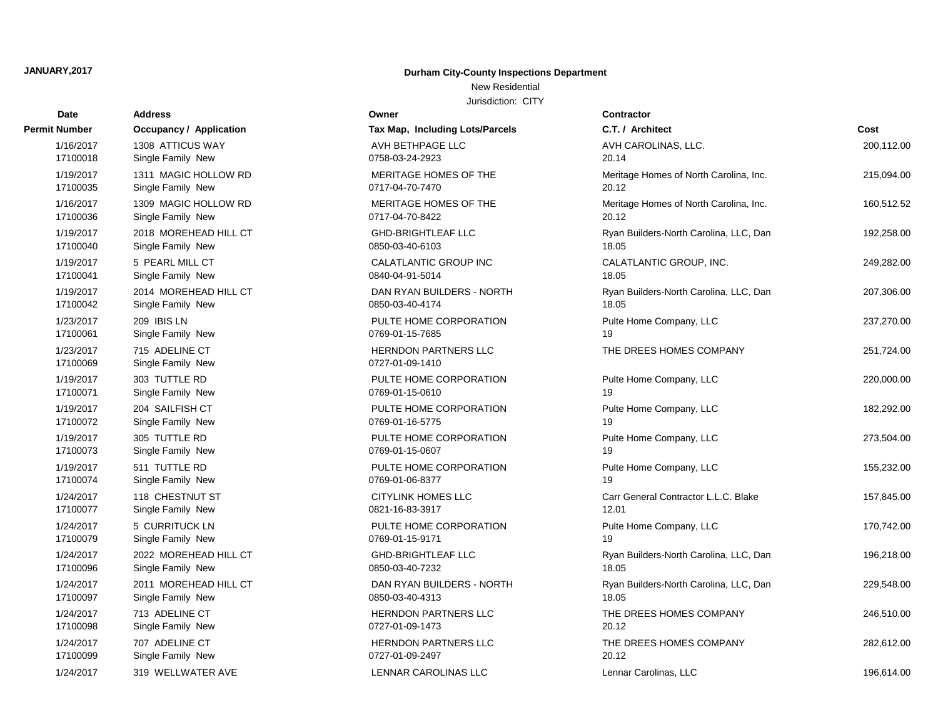# **Date Contractor Address Owner Permit Number Occupancy / Application Tax Map, Including Lots** 17100099 Single Family New 0727-01-09-2497 17100098 Single Family New 2012 12:00 0727-01-09-1473 17100097 Single Family New 0850-03-40-4313 17100096 Single Family New 0850-03-40-7232 1/24/2017 2011 MOREHEAD HILL CT DAN RYAN BUILDERS 17100079 Single Family New 0769-01-15-9171 1/24/2017 2022 MOREHEAD HILL CT GHD-BRIGHTLEAF LLC 17100077 Single Family New 0821-16-83-3917 17100074 Single Family New 0769-01-06-8377 17100073 Single Family New 0769-01-15-0607 17100072 Single Family New 0769-01-16-5775 17100071 Single Family New 0769-01-15-0610 17100069 Single Family New 0727-01-09-1410 17100061 Single Family New 2012 19:00:00 0769-01-15-7685 17100042 Single Family New 0850-03-40-4174 1/23/2017 209 IBIS LN PULTE HOME CORPOR 17100041 Single Family New 0840-04-91-5014 1/19/2017 2014 MOREHEAD HILL CT DAN RYAN BUILDERS 17100040 Single Family New 0850-03-40-6103 1/19/2017 5 PEARL MILL CT CALATLANTIC GROUP 17100036 Single Family New 20117-04-70-8422 1/19/2017 2018 MOREHEAD HILL CT GHD-BRIGHTLEAF LLC 17100035 Single Family New 0717-04-70-7470 1/16/2017 1309 MAGIC HOLLOW RD MERITAGE HOMES OF 17100018 Single Family New 20158-03-24-2923 1/19/2017 1311 MAGIC HOLLOW RD MERITAGE HOMES OF 1/16/2017 1308 ATTICUS WAY AVE AVH BETHPAGE LLC

### **JANUARY,2017 Durham City-County Inspections Department**

New Residential

| vate                  | Auuress                             | owner                                          | contractor                             |            |
|-----------------------|-------------------------------------|------------------------------------------------|----------------------------------------|------------|
| Number                | <b>Occupancy / Application</b>      | Tax Map, Including Lots/Parcels                | C.T. / Architect                       | Cost       |
| 1/16/2017             | 1308 ATTICUS WAY                    | AVH BETHPAGE LLC                               | AVH CAROLINAS, LLC.                    | 200,112.00 |
| 17100018              | Single Family New                   | 0758-03-24-2923                                | 20.14                                  |            |
| 1/19/2017             | 1311 MAGIC HOLLOW RD                | MERITAGE HOMES OF THE                          | Meritage Homes of North Carolina, Inc. | 215,094.00 |
| 17100035              | Single Family New                   | 0717-04-70-7470                                | 20.12                                  |            |
| 1/16/2017             | 1309 MAGIC HOLLOW RD                | MERITAGE HOMES OF THE                          | Meritage Homes of North Carolina, Inc. | 160,512.52 |
| 17100036              | Single Family New                   | 0717-04-70-8422                                | 20.12                                  |            |
| 1/19/2017             | 2018 MOREHEAD HILL CT               | <b>GHD-BRIGHTLEAF LLC</b>                      | Ryan Builders-North Carolina, LLC, Dan | 192,258.00 |
| 17100040              | Single Family New                   | 0850-03-40-6103                                | 18.05                                  |            |
| 1/19/2017             | 5 PEARL MILL CT                     | CALATLANTIC GROUP INC                          | CALATLANTIC GROUP, INC.                | 249,282.00 |
| 17100041              | Single Family New                   | 0840-04-91-5014                                | 18.05                                  |            |
| 1/19/2017             | 2014 MOREHEAD HILL CT               | DAN RYAN BUILDERS - NORTH                      | Ryan Builders-North Carolina, LLC, Dan | 207,306.00 |
| 17100042              | Single Family New                   | 0850-03-40-4174                                | 18.05                                  |            |
| 1/23/2017             | 209 IBIS LN                         | PULTE HOME CORPORATION                         | Pulte Home Company, LLC                | 237,270.00 |
| 17100061              | Single Family New                   | 0769-01-15-7685                                | 19                                     |            |
| 1/23/2017<br>17100069 | 715 ADELINE CT<br>Single Family New | <b>HERNDON PARTNERS LLC</b><br>0727-01-09-1410 | THE DREES HOMES COMPANY                | 251,724.00 |
| 1/19/2017             | 303 TUTTLE RD                       | PULTE HOME CORPORATION                         | Pulte Home Company, LLC                | 220,000.00 |
| 17100071              | Single Family New                   | 0769-01-15-0610                                | 19                                     |            |
| 1/19/2017             | 204 SAILFISH CT                     | PULTE HOME CORPORATION                         | Pulte Home Company, LLC                | 182,292.00 |
| 17100072              | Single Family New                   | 0769-01-16-5775                                | 19                                     |            |
| 1/19/2017             | 305 TUTTLE RD                       | PULTE HOME CORPORATION                         | Pulte Home Company, LLC                | 273,504.00 |
| 17100073              | Single Family New                   | 0769-01-15-0607                                | 19                                     |            |
| 1/19/2017             | 511 TUTTLE RD                       | PULTE HOME CORPORATION                         | Pulte Home Company, LLC                | 155,232.00 |
| 17100074              | Single Family New                   | 0769-01-06-8377                                | 19                                     |            |
| 1/24/2017             | 118 CHESTNUT ST                     | CITYLINK HOMES LLC                             | Carr General Contractor L.L.C. Blake   | 157,845.00 |
| 17100077              | Single Family New                   | 0821-16-83-3917                                | 12.01                                  |            |
| 1/24/2017             | 5 CURRITUCK LN                      | PULTE HOME CORPORATION                         | Pulte Home Company, LLC                | 170,742.00 |
| 17100079              | Single Family New                   | 0769-01-15-9171                                | 19                                     |            |
| 1/24/2017             | 2022 MOREHEAD HILL CT               | <b>GHD-BRIGHTLEAF LLC</b>                      | Ryan Builders-North Carolina, LLC, Dan | 196,218.00 |
| 17100096              | Single Family New                   | 0850-03-40-7232                                | 18.05                                  |            |
| 1/24/2017             | 2011 MOREHEAD HILL CT               | DAN RYAN BUILDERS - NORTH                      | Ryan Builders-North Carolina, LLC, Dan | 229,548.00 |
| 17100097              | Single Family New                   | 0850-03-40-4313                                | 18.05                                  |            |
| 1/24/2017             | 713 ADELINE CT                      | <b>HERNDON PARTNERS LLC</b>                    | THE DREES HOMES COMPANY                | 246,510.00 |
| 17100098              | Single Family New                   | 0727-01-09-1473                                | 20.12                                  |            |
| 1/24/2017             | 707 ADELINE CT                      | <b>HERNDON PARTNERS LLC</b>                    | THE DREES HOMES COMPANY                | 282,612.00 |
| 17100099              | Single Family New                   | 0727-01-09-2497                                | 20.12                                  |            |
| 1/24/2017             | 319 WELLWATER AVE                   | LENNAR CAROLINAS LLC                           | Lennar Carolinas, LLC                  | 196,614.00 |